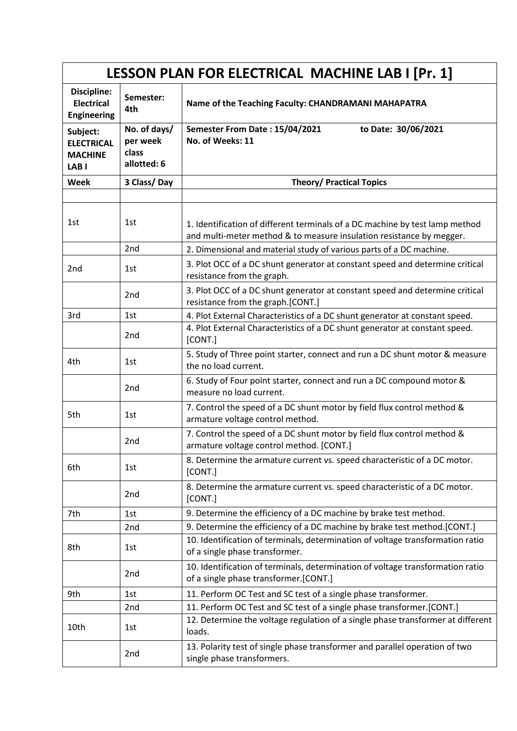| LESSON PLAN FOR ELECTRICAL MACHINE LAB I [Pr. 1]                    |                                                  |                                                                                                                                                      |  |
|---------------------------------------------------------------------|--------------------------------------------------|------------------------------------------------------------------------------------------------------------------------------------------------------|--|
| Discipline:<br><b>Electrical</b><br><b>Engineering</b>              | Semester:<br>4th                                 | Name of the Teaching Faculty: CHANDRAMANI MAHAPATRA                                                                                                  |  |
| Subject:<br><b>ELECTRICAL</b><br><b>MACHINE</b><br>LAB <sub>I</sub> | No. of days/<br>per week<br>class<br>allotted: 6 | Semester From Date: 15/04/2021<br>to Date: 30/06/2021<br>No. of Weeks: 11                                                                            |  |
| Week                                                                | 3 Class/Day                                      | <b>Theory/ Practical Topics</b>                                                                                                                      |  |
|                                                                     |                                                  |                                                                                                                                                      |  |
| 1st                                                                 | 1st                                              | 1. Identification of different terminals of a DC machine by test lamp method<br>and multi-meter method & to measure insulation resistance by megger. |  |
|                                                                     | 2nd                                              | 2. Dimensional and material study of various parts of a DC machine.                                                                                  |  |
| 2 <sub>nd</sub>                                                     | 1st                                              | 3. Plot OCC of a DC shunt generator at constant speed and determine critical<br>resistance from the graph.                                           |  |
|                                                                     | 2 <sub>nd</sub>                                  | 3. Plot OCC of a DC shunt generator at constant speed and determine critical<br>resistance from the graph.[CONT.]                                    |  |
| 3rd                                                                 | 1st                                              | 4. Plot External Characteristics of a DC shunt generator at constant speed.                                                                          |  |
|                                                                     | 2 <sub>nd</sub>                                  | 4. Plot External Characteristics of a DC shunt generator at constant speed.<br>[CONT.]                                                               |  |
| 4th                                                                 | 1st                                              | 5. Study of Three point starter, connect and run a DC shunt motor & measure<br>the no load current.                                                  |  |
|                                                                     | 2 <sub>nd</sub>                                  | 6. Study of Four point starter, connect and run a DC compound motor &<br>measure no load current.                                                    |  |
| 5th                                                                 | 1st                                              | 7. Control the speed of a DC shunt motor by field flux control method &<br>armature voltage control method.                                          |  |
|                                                                     | 2 <sub>nd</sub>                                  | 7. Control the speed of a DC shunt motor by field flux control method &<br>armature voltage control method. [CONT.]                                  |  |
| 6th                                                                 | 1st                                              | 8. Determine the armature current vs. speed characteristic of a DC motor.<br>[CONT.]                                                                 |  |
|                                                                     | 2nd                                              | 8. Determine the armature current vs. speed characteristic of a DC motor.<br>[CONT.]                                                                 |  |
| 7th                                                                 | 1st                                              | 9. Determine the efficiency of a DC machine by brake test method.                                                                                    |  |
|                                                                     | 2nd                                              | 9. Determine the efficiency of a DC machine by brake test method.[CONT.]                                                                             |  |
| 8th                                                                 | 1st                                              | 10. Identification of terminals, determination of voltage transformation ratio<br>of a single phase transformer.                                     |  |
|                                                                     | 2nd                                              | 10. Identification of terminals, determination of voltage transformation ratio<br>of a single phase transformer.[CONT.]                              |  |
| 9th                                                                 | 1st                                              | 11. Perform OC Test and SC test of a single phase transformer.                                                                                       |  |
|                                                                     | 2nd                                              | 11. Perform OC Test and SC test of a single phase transformer. [CONT.]                                                                               |  |
| 10th                                                                | 1st                                              | 12. Determine the voltage regulation of a single phase transformer at different<br>loads.                                                            |  |
|                                                                     | 2nd                                              | 13. Polarity test of single phase transformer and parallel operation of two<br>single phase transformers.                                            |  |